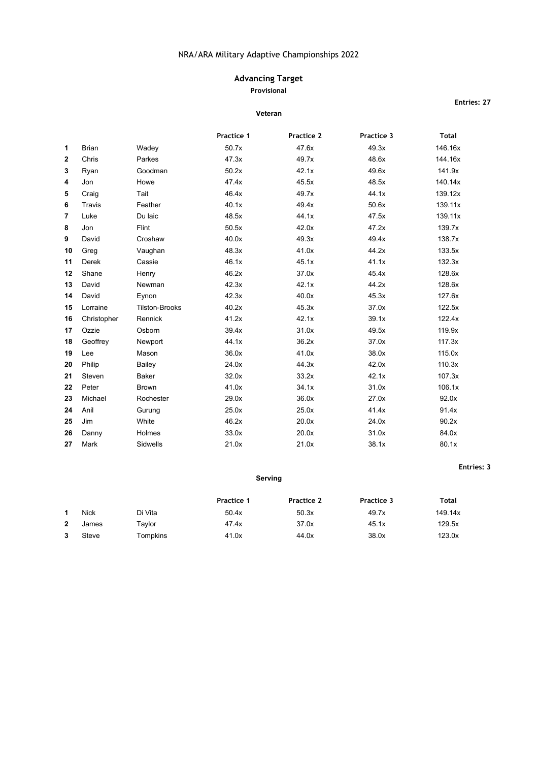# **Advancing Target**

### **Provisional**

#### **Veteran**

**Practice 1 Practice 2 Practice 3 Total** Brian Wadey 50.7x 47.6x 49.3x 146.16x Chris Parkes 47.3x 49.7x 48.6x 144.16x Ryan Goodman 50.2x 42.1x 49.6x 141.9x Jon Howe 47.4x 45.5x 48.5x 48.5x 140.14x Craig Tait 46.4x 49.7x 44.1x 139.12x Travis Feather 40.1x 49.4x 50.6x 139.11x Luke Du laic 48.5x 44.1x 47.5x 139.11x Jon Flint 50.5x 42.0x 47.2x 139.7x David Croshaw 40.0x 49.3x 49.4x 138.7x Greg Vaughan 48.3x 41.0x 44.2x 133.5x Derek Cassie 46.1x 45.1x 41.1x 132.3x Shane Henry **128.6x** 46.2x 37.0x 45.4x 45.4x 128.6x David Newman 42.3x 42.1x 44.2x 128.6x David Eynon 42.3x 40.0x 45.3x 127.6x Lorraine Tilston-Brooks 40.2x 45.3x 37.0x 122.5x Christopher Rennick **41.2x** 42.1x 39.1x 122.4x Ozzie Osborn 39.4x 31.0x 49.5x 119.9x Geoffrey Newport 44.1x 36.2x 37.0x 117.3x Lee Mason 36.0x 41.0x 38.0x 115.0x Philip Bailey 24.0x 44.3x 42.0x 110.3x Steven Baker 32.0x 33.2x 42.1x 107.3x Peter Brown 41.0x 34.1x 31.0x 34.1x 31.0x 106.1x Michael Rochester 29.0x 36.0x 27.0x 92.0x Anil Gurung 25.0x 25.0x 41.4x 91.4x Jim White 46.2x 20.0x 24.0x 90.2x Danny Holmes 33.0x 20.0x 31.0x 84.0x Mark Sidwells 21.0x 21.0x 38.1x 80.1x

#### **Serving**

|              |             |          | <b>Practice 1</b> | Practice 2 | Practice 3 | Total   |
|--------------|-------------|----------|-------------------|------------|------------|---------|
|              | <b>Nick</b> | Di Vita  | 50.4x             | 50.3x      | 49.7x      | 149.14x |
| $\mathbf{2}$ | James       | Tavlor   | 47.4x             | 37.0x      | 45.1x      | 129.5x  |
| 3            | Steve       | Tompkins | 41.0x             | 44.0x      | 38.0x      | 123.0x  |

### **Entries: 27**

**Entries: 3**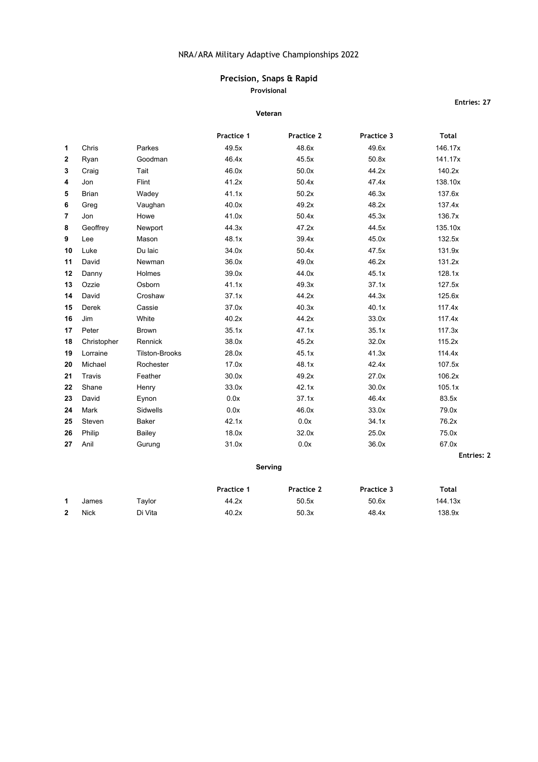# **Precision, Snaps & Rapid**

**Provisional**

#### **Veteran**

**Entries: 27**

|                |               |                       | Practice 1 | Practice 2 | Practice 3 | <b>Total</b> |
|----------------|---------------|-----------------------|------------|------------|------------|--------------|
| 1              | Chris         | Parkes                | 49.5x      | 48.6x      | 49.6x      | 146.17x      |
| $\overline{2}$ | Ryan          | Goodman               | 46.4x      | 45.5x      | 50.8x      | 141.17x      |
| 3              | Craig         | Tait                  | 46.0x      | 50.0x      | 44.2x      | 140.2x       |
| 4              | Jon           | Flint                 | 41.2x      | 50.4x      | 47.4x      | 138.10x      |
| 5              | <b>Brian</b>  | Wadey                 | 41.1x      | 50.2x      | 46.3x      | 137.6x       |
| 6              | Greg          | Vaughan               | 40.0x      | 49.2x      | 48.2x      | 137.4x       |
| 7              | Jon           | Howe                  | 41.0x      | 50.4x      | 45.3x      | 136.7x       |
| 8              | Geoffrey      | Newport               | 44.3x      | 47.2x      | 44.5x      | 135.10x      |
| 9              | Lee           | Mason                 | 48.1x      | 39.4x      | 45.0x      | 132.5x       |
| 10             | Luke          | Du laic               | 34.0x      | 50.4x      | 47.5x      | 131.9x       |
| 11             | David         | <b>Newman</b>         | 36.0x      | 49.0x      | 46.2x      | 131.2x       |
| 12             | Danny         | Holmes                | 39.0x      | 44.0x      | 45.1x      | 128.1x       |
| 13             | Ozzie         | Osborn                | 41.1x      | 49.3x      | 37.1x      | 127.5x       |
| 14             | David         | Croshaw               | 37.1x      | 44.2x      | 44.3x      | 125.6x       |
| 15             | Derek         | Cassie                | 37.0x      | 40.3x      | 40.1x      | 117.4x       |
| 16             | Jim           | White                 | 40.2x      | 44.2x      | 33.0x      | 117.4x       |
| 17             | Peter         | <b>Brown</b>          | 35.1x      | 47.1x      | 35.1x      | 117.3x       |
| 18             | Christopher   | Rennick               | 38.0x      | 45.2x      | 32.0x      | 115.2x       |
| 19             | Lorraine      | <b>Tilston-Brooks</b> | 28.0x      | 45.1x      | 41.3x      | 114.4x       |
| 20             | Michael       | Rochester             | 17.0x      | 48.1x      | 42.4x      | 107.5x       |
| 21             | <b>Travis</b> | Feather               | 30.0x      | 49.2x      | 27.0x      | 106.2x       |
| 22             | Shane         | Henry                 | 33.0x      | 42.1x      | 30.0x      | 105.1x       |
| 23             | David         | Eynon                 | 0.0x       | 37.1x      | 46.4x      | 83.5x        |
| 24             | Mark          | Sidwells              | 0.0x       | 46.0x      | 33.0x      | 79.0x        |
| 25             | Steven        | Baker                 | 42.1x      | 0.0x       | 34.1x      | 76.2x        |
| 26             | Philip        | Bailey                | 18.0x      | 32.0x      | 25.0x      | 75.0x        |
| 27             | Anil          | Gurung                | 31.0x      | 0.0x       | 36.0x      | 67.0x        |
|                |               |                       |            |            |            | Entries: 2   |
|                |               |                       |            | Serving    |            |              |

|              |             |         | <b>Practice 1</b> | Practice 2 | Practice 3 | Total   |
|--------------|-------------|---------|-------------------|------------|------------|---------|
|              | James       | Tavlor  | 44.2x             | 50.5x      | 50.6x      | 144.13x |
| $\mathbf{2}$ | <b>Nick</b> | Di Vita | 40.2x             | 50.3x      | 48.4x      | 138.9x  |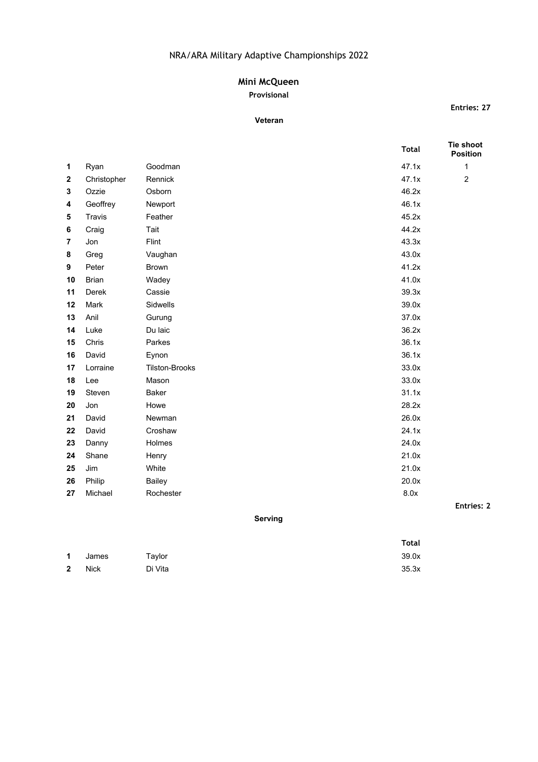# **Mini McQueen**

# **Provisional**

## **Veteran**

**Entries: 27**

|                |              |                       | <b>Total</b> | Tie shoot<br><b>Position</b> |
|----------------|--------------|-----------------------|--------------|------------------------------|
| 1              | Ryan         | Goodman               | 47.1x        | $\mathbf{1}$                 |
| $\mathbf{2}$   | Christopher  | Rennick               | 47.1x        | $\overline{2}$               |
| 3              | Ozzie        | Osborn                | 46.2x        |                              |
| 4              | Geoffrey     | Newport               | 46.1x        |                              |
| 5              | Travis       | Feather               | 45.2x        |                              |
| 6              | Craig        | Tait                  | 44.2x        |                              |
| $\overline{7}$ | Jon          | Flint                 | 43.3x        |                              |
| 8              | Greg         | Vaughan               | 43.0x        |                              |
| 9              | Peter        | <b>Brown</b>          | 41.2x        |                              |
| 10             | <b>Brian</b> | Wadey                 | 41.0x        |                              |
| 11             | Derek        | Cassie                | 39.3x        |                              |
| 12             | Mark         | Sidwells              | 39.0x        |                              |
| 13             | Anil         | Gurung                | 37.0x        |                              |
| 14             | Luke         | Du laic               | 36.2x        |                              |
| 15             | Chris        | Parkes                | 36.1x        |                              |
| 16             | David        | Eynon                 | 36.1x        |                              |
| 17             | Lorraine     | <b>Tilston-Brooks</b> | 33.0x        |                              |
| 18             | Lee          | Mason                 | 33.0x        |                              |
| 19             | Steven       | <b>Baker</b>          | 31.1x        |                              |
| 20             | Jon          | Howe                  | 28.2x        |                              |
| 21             | David        | Newman                | 26.0x        |                              |
| 22             | David        | Croshaw               | 24.1x        |                              |
| 23             | Danny        | Holmes                | 24.0x        |                              |
| 24             | Shane        | Henry                 | 21.0x        |                              |
| 25             | Jim          | White                 | 21.0x        |                              |
| 26             | Philip       | Bailey                | 20.0x        |                              |
| 27             | Michael      | Rochester             | 8.0x         |                              |
|                |              |                       |              | <b>Entries: 2</b>            |

## **Serving**

|              |       |         | <b>Total</b> |
|--------------|-------|---------|--------------|
| $\mathbf 1$  | James | Taylor  | 39.0x        |
| $\mathbf{2}$ | Nick  | Di Vita | 35.3x        |